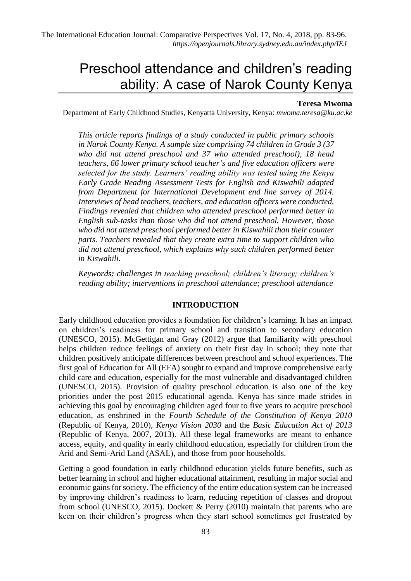# Preschool attendance and children's reading ability: A case of Narok County Kenya

#### **Teresa Mwoma**

Department of Early Childhood Studies, Kenyatta University, Kenya: *mwoma.teresa@ku.ac.ke*

*This article reports findings of a study conducted in public primary schools in Narok County Kenya. A sample size comprising 74 children in Grade 3 (37 who did not attend preschool and 37 who attended preschool), 18 head teachers, 66 lower primary school teacher's and five education officers were selected for the study. Learners' reading ability was tested using the Kenya Early Grade Reading Assessment Tests for English and Kiswahili adapted from Department for International Development end line survey of 2014. Interviews of head teachers, teachers, and education officers were conducted. Findings revealed that children who attended preschool performed better in English sub-tasks than those who did not attend preschool. However, those who did not attend preschool performed better in Kiswahili than their counter parts. Teachers revealed that they create extra time to support children who did not attend preschool, which explains why such children performed better in Kiswahili.*

*Keywords: challenges in teaching preschool; children's literacy; children's reading ability; interventions in preschool attendance; preschool attendance*

#### **INTRODUCTION**

Early childhood education provides a foundation for children's learning. It has an impact on children's readiness for primary school and transition to secondary education (UNESCO, 2015). McGettigan and Gray (2012) argue that familiarity with preschool helps children reduce feelings of anxiety on their first day in school; they note that children positively anticipate differences between preschool and school experiences. The first goal of Education for All (EFA) sought to expand and improve comprehensive early child care and education, especially for the most vulnerable and disadvantaged children (UNESCO, 2015). Provision of quality preschool education is also one of the key priorities under the post 2015 educational agenda. Kenya has since made strides in achieving this goal by encouraging children aged four to five years to acquire preschool education, as enshrined in the *Fourth Schedule of the Constitution of Kenya 2010* (Republic of Kenya, 2010), *Kenya Vision 2030* and the *Basic Education Act of 2013* (Republic of Kenya, 2007, 2013). All these legal frameworks are meant to enhance access, equity, and quality in early childhood education, especially for children from the Arid and Semi-Arid Land (ASAL), and those from poor households.

Getting a good foundation in early childhood education yields future benefits, such as better learning in school and higher educational attainment, resulting in major social and economic gains for society. The efficiency of the entire education system can be increased by improving children's readiness to learn, reducing repetition of classes and dropout from school (UNESCO, 2015). Dockett  $\&$  Perry (2010) maintain that parents who are keen on their children's progress when they start school sometimes get frustrated by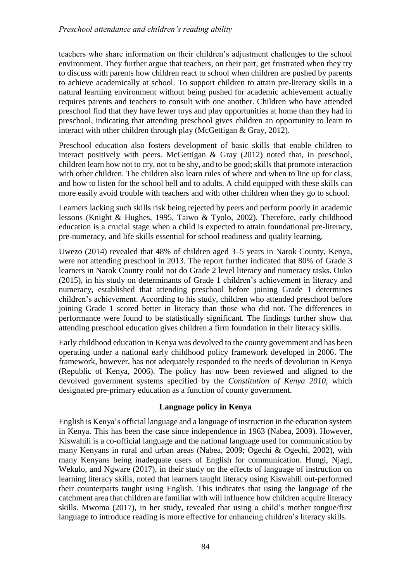teachers who share information on their children's adjustment challenges to the school environment. They further argue that teachers, on their part, get frustrated when they try to discuss with parents how children react to school when children are pushed by parents to achieve academically at school. To support children to attain pre-literacy skills in a natural learning environment without being pushed for academic achievement actually requires parents and teachers to consult with one another. Children who have attended preschool find that they have fewer toys and play opportunities at home than they had in preschool, indicating that attending preschool gives children an opportunity to learn to interact with other children through play (McGettigan & Gray, 2012).

Preschool education also fosters development of basic skills that enable children to interact positively with peers. McGettigan & Gray (2012) noted that, in preschool, children learn how not to cry, not to be shy, and to be good; skills that promote interaction with other children. The children also learn rules of where and when to line up for class, and how to listen for the school bell and to adults. A child equipped with these skills can more easily avoid trouble with teachers and with other children when they go to school.

Learners lacking such skills risk being rejected by peers and perform poorly in academic lessons (Knight & Hughes, 1995, Taiwo & Tyolo, 2002). Therefore, early childhood education is a crucial stage when a child is expected to attain foundational pre-literacy, pre-numeracy, and life skills essential for school readiness and quality learning.

Uwezo (2014) revealed that 48% of children aged 3–5 years in Narok County, Kenya, were not attending preschool in 2013. The report further indicated that 80% of Grade 3 learners in Narok County could not do Grade 2 level literacy and numeracy tasks. Ouko (2015), in his study on determinants of Grade 1 children's achievement in literacy and numeracy, established that attending preschool before joining Grade 1 determines children's achievement. According to his study, children who attended preschool before joining Grade 1 scored better in literacy than those who did not. The differences in performance were found to be statistically significant. The findings further show that attending preschool education gives children a firm foundation in their literacy skills.

Early childhood education in Kenya was devolved to the county government and has been operating under a national early childhood policy framework developed in 2006. The framework, however, has not adequately responded to the needs of devolution in Kenya (Republic of Kenya, 2006). The policy has now been reviewed and aligned to the devolved government systems specified by the *Constitution of Kenya 2010*, which designated pre-primary education as a function of county government.

## **Language policy in Kenya**

English is Kenya's official language and a language of instruction in the education system in Kenya. This has been the case since independence in 1963 (Nabea, 2009). However, Kiswahili is a co-official language and the national language used for communication by many Kenyans in rural and urban areas (Nabea, 2009; Ogechi & Ogechi, 2002), with many Kenyans being inadequate users of English for communication. Hungi, Njagi, Wekulo, and Ngware (2017), in their study on the effects of language of instruction on learning literacy skills, noted that learners taught literacy using Kiswahili out-performed their counterparts taught using English. This indicates that using the language of the catchment area that children are familiar with will influence how children acquire literacy skills. Mwoma (2017), in her study, revealed that using a child's mother tongue/first language to introduce reading is more effective for enhancing children's literacy skills.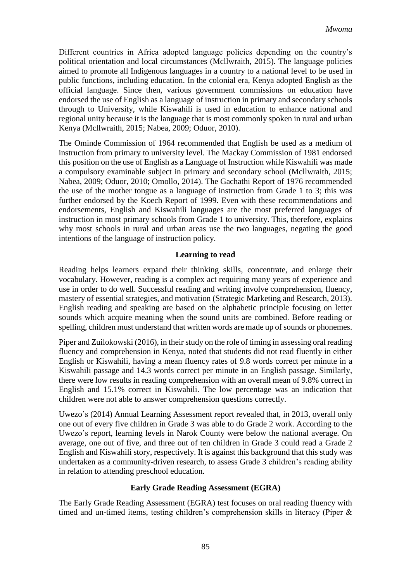Different countries in Africa adopted language policies depending on the country's political orientation and local circumstances (Mcllwraith, 2015). The language policies aimed to promote all Indigenous languages in a country to a national level to be used in public functions, including education. In the colonial era, Kenya adopted English as the official language. Since then, various government commissions on education have endorsed the use of English as a language of instruction in primary and secondary schools through to University, while Kiswahili is used in education to enhance national and regional unity because it is the language that is most commonly spoken in rural and urban Kenya (Mcllwraith, 2015; Nabea, 2009; Oduor, 2010).

The Ominde Commission of 1964 recommended that English be used as a medium of instruction from primary to university level. The Mackay Commission of 1981 endorsed this position on the use of English as a Language of Instruction while Kiswahili was made a compulsory examinable subject in primary and secondary school (Mcllwraith, 2015; Nabea, 2009; Oduor, 2010; Omollo, 2014). The Gachathi Report of 1976 recommended the use of the mother tongue as a language of instruction from Grade 1 to 3; this was further endorsed by the Koech Report of 1999. Even with these recommendations and endorsements, English and Kiswahili languages are the most preferred languages of instruction in most primary schools from Grade 1 to university. This, therefore, explains why most schools in rural and urban areas use the two languages, negating the good intentions of the language of instruction policy.

## **Learning to read**

Reading helps learners expand their thinking skills, concentrate, and enlarge their vocabulary. However, reading is a complex act requiring many years of experience and use in order to do well. Successful reading and writing involve comprehension, fluency, mastery of essential strategies, and motivation (Strategic Marketing and Research, 2013). English reading and speaking are based on the alphabetic principle focusing on letter sounds which acquire meaning when the sound units are combined. Before reading or spelling, children must understand that written words are made up of sounds or phonemes.

Piper and Zuilokowski (2016), in their study on the role of timing in assessing oral reading fluency and comprehension in Kenya, noted that students did not read fluently in either English or Kiswahili, having a mean fluency rates of 9.8 words correct per minute in a Kiswahili passage and 14.3 words correct per minute in an English passage. Similarly, there were low results in reading comprehension with an overall mean of 9.8% correct in English and 15.1% correct in Kiswahili. The low percentage was an indication that children were not able to answer comprehension questions correctly.

Uwezo's (2014) Annual Learning Assessment report revealed that, in 2013, overall only one out of every five children in Grade 3 was able to do Grade 2 work. According to the Uwezo's report, learning levels in Narok County were below the national average. On average, one out of five, and three out of ten children in Grade 3 could read a Grade 2 English and Kiswahili story, respectively. It is against this background that this study was undertaken as a community-driven research, to assess Grade 3 children's reading ability in relation to attending preschool education.

## **Early Grade Reading Assessment (EGRA)**

The Early Grade Reading Assessment (EGRA) test focuses on oral reading fluency with timed and un-timed items, testing children's comprehension skills in literacy (Piper &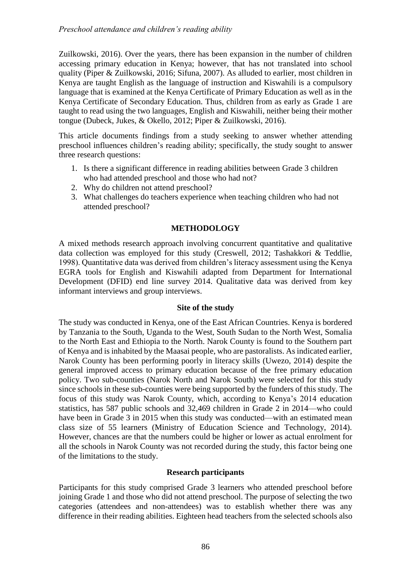Zuilkowski, 2016). Over the years, there has been expansion in the number of children accessing primary education in Kenya; however, that has not translated into school quality (Piper & Zuilkowski, 2016; Sifuna, 2007). As alluded to earlier, most children in Kenya are taught English as the language of instruction and Kiswahili is a compulsory language that is examined at the Kenya Certificate of Primary Education as well as in the Kenya Certificate of Secondary Education. Thus, children from as early as Grade 1 are taught to read using the two languages, English and Kiswahili, neither being their mother tongue (Dubeck, Jukes, & Okello, 2012; Piper & Zuilkowski, 2016).

This article documents findings from a study seeking to answer whether attending preschool influences children's reading ability; specifically, the study sought to answer three research questions:

- 1. Is there a significant difference in reading abilities between Grade 3 children who had attended preschool and those who had not?
- 2. Why do children not attend preschool?
- 3. What challenges do teachers experience when teaching children who had not attended preschool?

# **METHODOLOGY**

A mixed methods research approach involving concurrent quantitative and qualitative data collection was employed for this study (Creswell, 2012; Tashakkori & Teddlie, 1998). Quantitative data was derived from children's literacy assessment using the Kenya EGRA tools for English and Kiswahili adapted from Department for International Development (DFID) end line survey 2014. Qualitative data was derived from key informant interviews and group interviews.

## **Site of the study**

The study was conducted in Kenya, one of the East African Countries. Kenya is bordered by Tanzania to the South, Uganda to the West, South Sudan to the North West, Somalia to the North East and Ethiopia to the North. Narok County is found to the Southern part of Kenya and is inhabited by the Maasai people, who are pastoralists. As indicated earlier, Narok County has been performing poorly in literacy skills (Uwezo, 2014) despite the general improved access to primary education because of the free primary education policy. Two sub-counties (Narok North and Narok South) were selected for this study since schools in these sub-counties were being supported by the funders of this study. The focus of this study was Narok County, which, according to Kenya's 2014 education statistics, has 587 public schools and 32,469 children in Grade 2 in 2014––who could have been in Grade 3 in 2015 when this study was conducted—with an estimated mean class size of 55 learners (Ministry of Education Science and Technology, 2014). However, chances are that the numbers could be higher or lower as actual enrolment for all the schools in Narok County was not recorded during the study, this factor being one of the limitations to the study.

## **Research participants**

Participants for this study comprised Grade 3 learners who attended preschool before joining Grade 1 and those who did not attend preschool. The purpose of selecting the two categories (attendees and non-attendees) was to establish whether there was any difference in their reading abilities. Eighteen head teachers from the selected schools also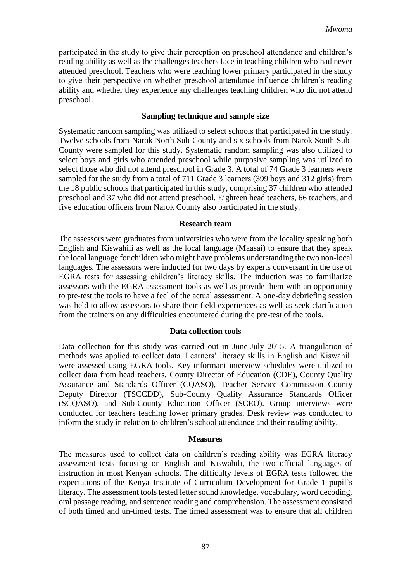participated in the study to give their perception on preschool attendance and children's reading ability as well as the challenges teachers face in teaching children who had never attended preschool. Teachers who were teaching lower primary participated in the study to give their perspective on whether preschool attendance influence children's reading ability and whether they experience any challenges teaching children who did not attend preschool.

#### **Sampling technique and sample size**

Systematic random sampling was utilized to select schools that participated in the study. Twelve schools from Narok North Sub-County and six schools from Narok South Sub-County were sampled for this study. Systematic random sampling was also utilized to select boys and girls who attended preschool while purposive sampling was utilized to select those who did not attend preschool in Grade 3. A total of 74 Grade 3 learners were sampled for the study from a total of 711 Grade 3 learners (399 boys and 312 girls) from the 18 public schools that participated in this study, comprising 37 children who attended preschool and 37 who did not attend preschool. Eighteen head teachers, 66 teachers, and five education officers from Narok County also participated in the study.

#### **Research team**

The assessors were graduates from universities who were from the locality speaking both English and Kiswahili as well as the local language (Maasai) to ensure that they speak the local language for children who might have problems understanding the two non-local languages. The assessors were inducted for two days by experts conversant in the use of EGRA tests for assessing children's literacy skills. The induction was to familiarize assessors with the EGRA assessment tools as well as provide them with an opportunity to pre-test the tools to have a feel of the actual assessment. A one-day debriefing session was held to allow assessors to share their field experiences as well as seek clarification from the trainers on any difficulties encountered during the pre-test of the tools.

#### **Data collection tools**

Data collection for this study was carried out in June-July 2015. A triangulation of methods was applied to collect data. Learners' literacy skills in English and Kiswahili were assessed using EGRA tools. Key informant interview schedules were utilized to collect data from head teachers, County Director of Education (CDE), County Quality Assurance and Standards Officer (CQASO), Teacher Service Commission County Deputy Director (TSCCDD), Sub-County Quality Assurance Standards Officer (SCQASO), and Sub-County Education Officer (SCEO). Group interviews were conducted for teachers teaching lower primary grades. Desk review was conducted to inform the study in relation to children's school attendance and their reading ability.

#### **Measures**

The measures used to collect data on children's reading ability was EGRA literacy assessment tests focusing on English and Kiswahili, the two official languages of instruction in most Kenyan schools. The difficulty levels of EGRA tests followed the expectations of the Kenya Institute of Curriculum Development for Grade 1 pupil's literacy. The assessment tools tested letter sound knowledge, vocabulary, word decoding, oral passage reading, and sentence reading and comprehension. The assessment consisted of both timed and un-timed tests. The timed assessment was to ensure that all children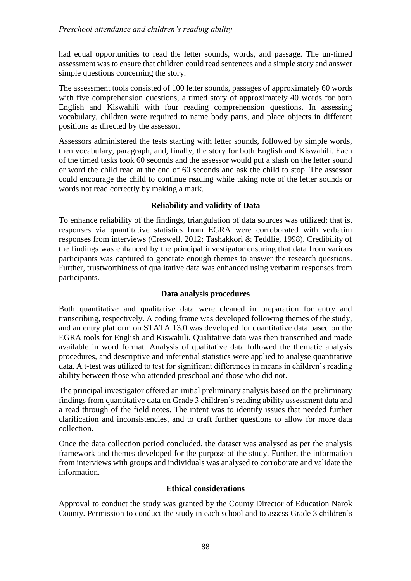had equal opportunities to read the letter sounds, words, and passage. The un-timed assessment was to ensure that children could read sentences and a simple story and answer simple questions concerning the story.

The assessment tools consisted of 100 letter sounds, passages of approximately 60 words with five comprehension questions, a timed story of approximately 40 words for both English and Kiswahili with four reading comprehension questions. In assessing vocabulary, children were required to name body parts, and place objects in different positions as directed by the assessor.

Assessors administered the tests starting with letter sounds, followed by simple words, then vocabulary, paragraph, and, finally, the story for both English and Kiswahili. Each of the timed tasks took 60 seconds and the assessor would put a slash on the letter sound or word the child read at the end of 60 seconds and ask the child to stop. The assessor could encourage the child to continue reading while taking note of the letter sounds or words not read correctly by making a mark.

# **Reliability and validity of Data**

To enhance reliability of the findings, triangulation of data sources was utilized; that is, responses via quantitative statistics from EGRA were corroborated with verbatim responses from interviews (Creswell, 2012; Tashakkori & Teddlie, 1998). Credibility of the findings was enhanced by the principal investigator ensuring that data from various participants was captured to generate enough themes to answer the research questions. Further, trustworthiness of qualitative data was enhanced using verbatim responses from participants.

# **Data analysis procedures**

Both quantitative and qualitative data were cleaned in preparation for entry and transcribing, respectively. A coding frame was developed following themes of the study, and an entry platform on STATA 13.0 was developed for quantitative data based on the EGRA tools for English and Kiswahili. Qualitative data was then transcribed and made available in word format. Analysis of qualitative data followed the thematic analysis procedures, and descriptive and inferential statistics were applied to analyse quantitative data. A t-test was utilized to test for significant differences in means in children's reading ability between those who attended preschool and those who did not.

The principal investigator offered an initial preliminary analysis based on the preliminary findings from quantitative data on Grade 3 children's reading ability assessment data and a read through of the field notes. The intent was to identify issues that needed further clarification and inconsistencies, and to craft further questions to allow for more data collection.

Once the data collection period concluded, the dataset was analysed as per the analysis framework and themes developed for the purpose of the study. Further, the information from interviews with groups and individuals was analysed to corroborate and validate the information.

## **Ethical considerations**

Approval to conduct the study was granted by the County Director of Education Narok County. Permission to conduct the study in each school and to assess Grade 3 children's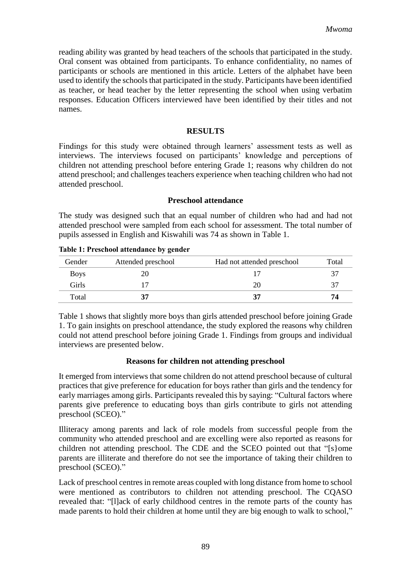reading ability was granted by head teachers of the schools that participated in the study. Oral consent was obtained from participants. To enhance confidentiality, no names of participants or schools are mentioned in this article. Letters of the alphabet have been used to identify the schools that participated in the study. Participants have been identified as teacher, or head teacher by the letter representing the school when using verbatim responses. Education Officers interviewed have been identified by their titles and not names.

#### **RESULTS**

Findings for this study were obtained through learners' assessment tests as well as interviews. The interviews focused on participants' knowledge and perceptions of children not attending preschool before entering Grade 1; reasons why children do not attend preschool; and challenges teachers experience when teaching children who had not attended preschool.

#### **Preschool attendance**

The study was designed such that an equal number of children who had and had not attended preschool were sampled from each school for assessment. The total number of pupils assessed in English and Kiswahili was 74 as shown in Table 1.

| Gender      | Attended preschool | Had not attended preschool | Total |
|-------------|--------------------|----------------------------|-------|
| <b>Boys</b> | 20                 |                            | 37    |
| Girls       |                    | 20                         | 37    |
| Total       |                    |                            | 74    |

Table 1 shows that slightly more boys than girls attended preschool before joining Grade 1. To gain insights on preschool attendance, the study explored the reasons why children could not attend preschool before joining Grade 1. Findings from groups and individual interviews are presented below.

#### **Reasons for children not attending preschool**

It emerged from interviews that some children do not attend preschool because of cultural practices that give preference for education for boys rather than girls and the tendency for early marriages among girls. Participants revealed this by saying: "Cultural factors where parents give preference to educating boys than girls contribute to girls not attending preschool (SCEO)."

Illiteracy among parents and lack of role models from successful people from the community who attended preschool and are excelling were also reported as reasons for children not attending preschool. The CDE and the SCEO pointed out that "[s}ome parents are illiterate and therefore do not see the importance of taking their children to preschool (SCEO)."

Lack of preschool centres in remote areas coupled with long distance from home to school were mentioned as contributors to children not attending preschool. The CQASO revealed that: "[l]ack of early childhood centres in the remote parts of the county has made parents to hold their children at home until they are big enough to walk to school,"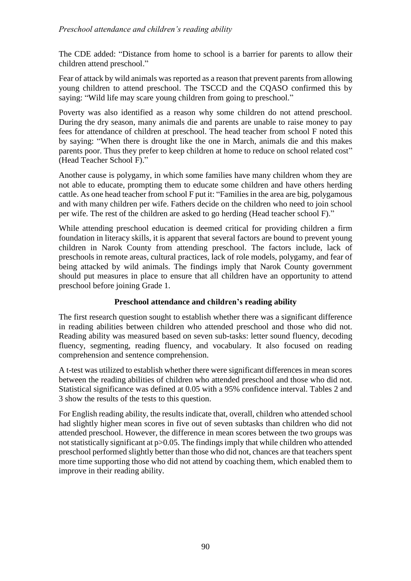The CDE added: "Distance from home to school is a barrier for parents to allow their children attend preschool."

Fear of attack by wild animals was reported as a reason that prevent parents from allowing young children to attend preschool. The TSCCD and the CQASO confirmed this by saying: "Wild life may scare young children from going to preschool."

Poverty was also identified as a reason why some children do not attend preschool. During the dry season, many animals die and parents are unable to raise money to pay fees for attendance of children at preschool. The head teacher from school F noted this by saying: "When there is drought like the one in March, animals die and this makes parents poor. Thus they prefer to keep children at home to reduce on school related cost" (Head Teacher School F)."

Another cause is polygamy, in which some families have many children whom they are not able to educate, prompting them to educate some children and have others herding cattle. As one head teacher from school F put it: "Families in the area are big, polygamous and with many children per wife. Fathers decide on the children who need to join school per wife. The rest of the children are asked to go herding (Head teacher school F)."

While attending preschool education is deemed critical for providing children a firm foundation in literacy skills, it is apparent that several factors are bound to prevent young children in Narok County from attending preschool. The factors include, lack of preschools in remote areas, cultural practices, lack of role models, polygamy, and fear of being attacked by wild animals. The findings imply that Narok County government should put measures in place to ensure that all children have an opportunity to attend preschool before joining Grade 1.

## **Preschool attendance and children's reading ability**

The first research question sought to establish whether there was a significant difference in reading abilities between children who attended preschool and those who did not. Reading ability was measured based on seven sub-tasks: letter sound fluency, decoding fluency, segmenting, reading fluency, and vocabulary. It also focused on reading comprehension and sentence comprehension.

A t-test was utilized to establish whether there were significant differences in mean scores between the reading abilities of children who attended preschool and those who did not. Statistical significance was defined at 0.05 with a 95% confidence interval. Tables 2 and 3 show the results of the tests to this question.

For English reading ability, the results indicate that, overall, children who attended school had slightly higher mean scores in five out of seven subtasks than children who did not attended preschool. However, the difference in mean scores between the two groups was not statistically significant at p>0.05. The findings imply that while children who attended preschool performed slightly better than those who did not, chances are that teachers spent more time supporting those who did not attend by coaching them, which enabled them to improve in their reading ability.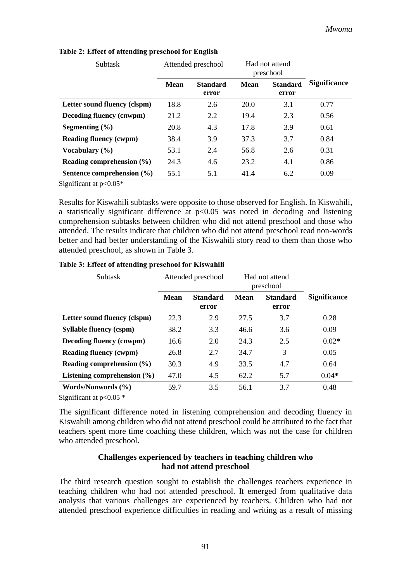| <b>Subtask</b>                   | Attended preschool |                          | Had not attend<br>preschool |                          |                     |
|----------------------------------|--------------------|--------------------------|-----------------------------|--------------------------|---------------------|
|                                  | Mean               | <b>Standard</b><br>error | Mean                        | <b>Standard</b><br>error | <b>Significance</b> |
| Letter sound fluency (clspm)     | 18.8               | 2.6                      | 20.0                        | 3.1                      | 0.77                |
| <b>Decoding fluency (cnwpm)</b>  | 21.2               | 2.2                      | 19.4                        | 2.3                      | 0.56                |
| Segmenting $(\% )$               | 20.8               | 4.3                      | 17.8                        | 3.9                      | 0.61                |
| <b>Reading fluency (cwpm)</b>    | 38.4               | 3.9                      | 37.3                        | 3.7                      | 0.84                |
| Vocabulary $(\% )$               | 53.1               | 2.4                      | 56.8                        | 2.6                      | 0.31                |
| <b>Reading comprehension (%)</b> | 24.3               | 4.6                      | 23.2                        | 4.1                      | 0.86                |
| Sentence comprehension (%)       | 55.1               | 5.1                      | 41.4                        | 6.2                      | 0.09                |

#### **Table 2: Effect of attending preschool for English**

Significant at  $p<0.05*$ 

Results for Kiswahili subtasks were opposite to those observed for English. In Kiswahili, a statistically significant difference at  $p<0.05$  was noted in decoding and listening comprehension subtasks between children who did not attend preschool and those who attended. The results indicate that children who did not attend preschool read non-words better and had better understanding of the Kiswahili story read to them than those who attended preschool, as shown in Table 3.

| <b>Subtask</b>                  | Attended preschool |                          | Had not attend<br>preschool |                          |                     |
|---------------------------------|--------------------|--------------------------|-----------------------------|--------------------------|---------------------|
|                                 | <b>Mean</b>        | <b>Standard</b><br>error | <b>Mean</b>                 | <b>Standard</b><br>error | <b>Significance</b> |
| Letter sound fluency (clspm)    | 22.3               | 2.9                      | 27.5                        | 3.7                      | 0.28                |
| <b>Syllable fluency (cspm)</b>  | 38.2               | 3.3                      | 46.6                        | 3.6                      | 0.09                |
| Decoding fluency (cnwpm)        | 16.6               | 2.0                      | 24.3                        | 2.5                      | $0.02*$             |
| <b>Reading fluency (cwpm)</b>   | 26.8               | 2.7                      | 34.7                        | 3                        | 0.05                |
| Reading comprehension (%)       | 30.3               | 4.9                      | 33.5                        | 4.7                      | 0.64                |
| Listening comprehension $(\% )$ | 47.0               | 4.5                      | 62.2                        | 5.7                      | $0.04*$             |
| Words/Nonwords (%)              | 59.7               | 3.5                      | 56.1                        | 3.7                      | 0.48                |

**Table 3: Effect of attending preschool for Kiswahili**

Significant at  $p<0.05$  \*

The significant difference noted in listening comprehension and decoding fluency in Kiswahili among children who did not attend preschool could be attributed to the fact that teachers spent more time coaching these children, which was not the case for children who attended preschool.

#### **Challenges experienced by teachers in teaching children who had not attend preschool**

The third research question sought to establish the challenges teachers experience in teaching children who had not attended preschool. It emerged from qualitative data analysis that various challenges are experienced by teachers. Children who had not attended preschool experience difficulties in reading and writing as a result of missing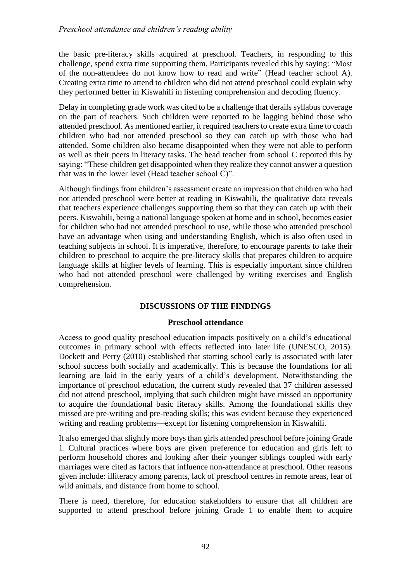the basic pre-literacy skills acquired at preschool. Teachers, in responding to this challenge, spend extra time supporting them. Participants revealed this by saying: "Most of the non-attendees do not know how to read and write" (Head teacher school A). Creating extra time to attend to children who did not attend preschool could explain why they performed better in Kiswahili in listening comprehension and decoding fluency.

Delay in completing grade work was cited to be a challenge that derails syllabus coverage on the part of teachers. Such children were reported to be lagging behind those who attended preschool. As mentioned earlier, it required teachers to create extra time to coach children who had not attended preschool so they can catch up with those who had attended. Some children also became disappointed when they were not able to perform as well as their peers in literacy tasks. The head teacher from school C reported this by saying: "These children get disappointed when they realize they cannot answer a question that was in the lower level (Head teacher school C)".

Although findings from children's assessment create an impression that children who had not attended preschool were better at reading in Kiswahili, the qualitative data reveals that teachers experience challenges supporting them so that they can catch up with their peers. Kiswahili, being a national language spoken at home and in school, becomes easier for children who had not attended preschool to use, while those who attended preschool have an advantage when using and understanding English, which is also often used in teaching subjects in school. It is imperative, therefore, to encourage parents to take their children to preschool to acquire the pre-literacy skills that prepares children to acquire language skills at higher levels of learning. This is especially important since children who had not attended preschool were challenged by writing exercises and English comprehension.

## **DISCUSSIONS OF THE FINDINGS**

#### **Preschool attendance**

Access to good quality preschool education impacts positively on a child's educational outcomes in primary school with effects reflected into later life (UNESCO, 2015). Dockett and Perry (2010) established that starting school early is associated with later school success both socially and academically. This is because the foundations for all learning are laid in the early years of a child's development. Notwithstanding the importance of preschool education, the current study revealed that 37 children assessed did not attend preschool, implying that such children might have missed an opportunity to acquire the foundational basic literacy skills. Among the foundational skills they missed are pre-writing and pre-reading skills; this was evident because they experienced writing and reading problems––except for listening comprehension in Kiswahili.

It also emerged that slightly more boys than girls attended preschool before joining Grade 1. Cultural practices where boys are given preference for education and girls left to perform household chores and looking after their younger siblings coupled with early marriages were cited as factors that influence non-attendance at preschool. Other reasons given include: illiteracy among parents, lack of preschool centres in remote areas, fear of wild animals, and distance from home to school.

There is need, therefore, for education stakeholders to ensure that all children are supported to attend preschool before joining Grade 1 to enable them to acquire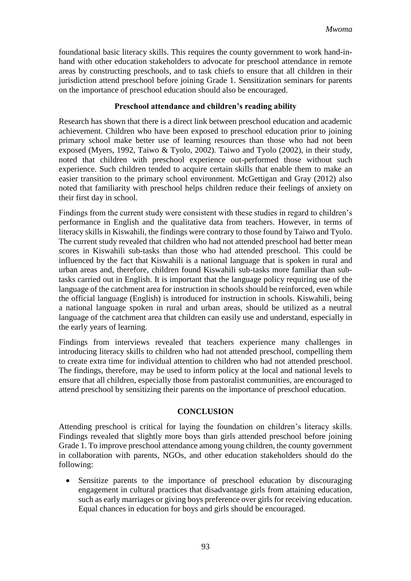foundational basic literacy skills. This requires the county government to work hand-inhand with other education stakeholders to advocate for preschool attendance in remote areas by constructing preschools, and to task chiefs to ensure that all children in their jurisdiction attend preschool before joining Grade 1. Sensitization seminars for parents on the importance of preschool education should also be encouraged.

## **Preschool attendance and children's reading ability**

Research has shown that there is a direct link between preschool education and academic achievement. Children who have been exposed to preschool education prior to joining primary school make better use of learning resources than those who had not been exposed (Myers, 1992, Taiwo & Tyolo, 2002). Taiwo and Tyolo (2002), in their study, noted that children with preschool experience out-performed those without such experience. Such children tended to acquire certain skills that enable them to make an easier transition to the primary school environment. McGettigan and Gray (2012) also noted that familiarity with preschool helps children reduce their feelings of anxiety on their first day in school.

Findings from the current study were consistent with these studies in regard to children's performance in English and the qualitative data from teachers. However, in terms of literacy skills in Kiswahili, the findings were contrary to those found by Taiwo and Tyolo. The current study revealed that children who had not attended preschool had better mean scores in Kiswahili sub-tasks than those who had attended preschool. This could be influenced by the fact that Kiswahili is a national language that is spoken in rural and urban areas and, therefore, children found Kiswahili sub-tasks more familiar than subtasks carried out in English. It is important that the language policy requiring use of the language of the catchment area for instruction in schools should be reinforced, even while the official language (English) is introduced for instruction in schools. Kiswahili, being a national language spoken in rural and urban areas, should be utilized as a neutral language of the catchment area that children can easily use and understand, especially in the early years of learning.

Findings from interviews revealed that teachers experience many challenges in introducing literacy skills to children who had not attended preschool, compelling them to create extra time for individual attention to children who had not attended preschool. The findings, therefore, may be used to inform policy at the local and national levels to ensure that all children, especially those from pastoralist communities, are encouraged to attend preschool by sensitizing their parents on the importance of preschool education.

## **CONCLUSION**

Attending preschool is critical for laying the foundation on children's literacy skills. Findings revealed that slightly more boys than girls attended preschool before joining Grade 1. To improve preschool attendance among young children, the county government in collaboration with parents, NGOs, and other education stakeholders should do the following:

• Sensitize parents to the importance of preschool education by discouraging engagement in cultural practices that disadvantage girls from attaining education, such as early marriages or giving boys preference over girls for receiving education. Equal chances in education for boys and girls should be encouraged.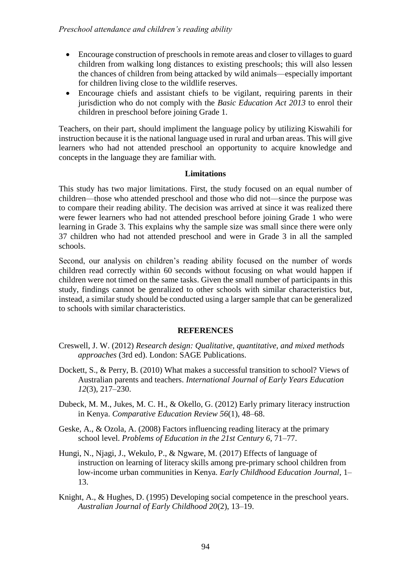- Encourage construction of preschools in remote areas and closer to villages to guard children from walking long distances to existing preschools; this will also lessen the chances of children from being attacked by wild animals––especially important for children living close to the wildlife reserves.
- Encourage chiefs and assistant chiefs to be vigilant, requiring parents in their jurisdiction who do not comply with the *Basic Education Act 2013* to enrol their children in preschool before joining Grade 1.

Teachers, on their part, should impliment the language policy by utilizing Kiswahili for instruction because it is the national language used in rural and urban areas. This will give learners who had not attended preschool an opportunity to acquire knowledge and concepts in the language they are familiar with.

#### **Limitations**

This study has two major limitations. First, the study focused on an equal number of children––those who attended preschool and those who did not––since the purpose was to compare their reading ability. The decision was arrived at since it was realized there were fewer learners who had not attended preschool before joining Grade 1 who were learning in Grade 3. This explains why the sample size was small since there were only 37 children who had not attended preschool and were in Grade 3 in all the sampled schools.

Second, our analysis on children's reading ability focused on the number of words children read correctly within 60 seconds without focusing on what would happen if children were not timed on the same tasks. Given the small number of participants in this study, findings cannot be genralized to other schools with similar characteristics but, instead, a similar study should be conducted using a larger sample that can be generalized to schools with similar characteristics.

## **REFERENCES**

- Creswell, J. W. (2012) *Research design: Qualitative, quantitative, and mixed methods approaches* (3rd ed). London: SAGE Publications.
- Dockett, S., & Perry, B. (2010) What makes a successful transition to school? Views of Australian parents and teachers. *International Journal of Early Years Education 12*(3), 217–230.
- Dubeck, M. M., Jukes, M. C. H., & Okello, G. (2012) Early primary literacy instruction in Kenya. *Comparative Education Review 56*(1), 48–68.
- Geske, A., & Ozola, A. (2008) Factors influencing reading literacy at the primary school level. *Problems of Education in the 21st Century 6*, 71–77.
- Hungi, N., Njagi, J., Wekulo, P., & Ngware, M. (2017) Effects of language of instruction on learning of literacy skills among pre-primary school children from low-income urban communities in Kenya. *Early Childhood Education Journal*, 1– 13.
- Knight, A., & Hughes, D. (1995) Developing social competence in the preschool years. *Australian Journal of Early Childhood 20*(2), 13–19.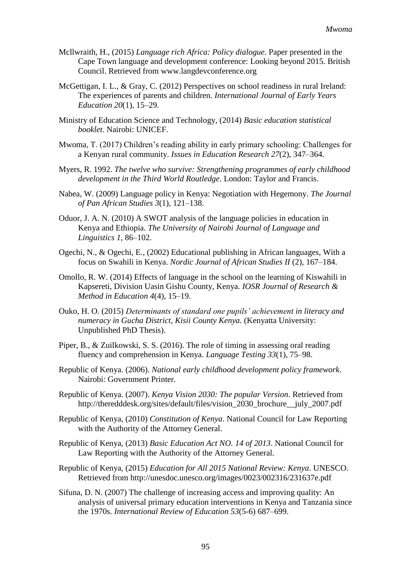- Mcllwraith, H., (2015) *Language rich Africa: Policy dialogue*. Paper presented in the Cape Town language and development conference: Looking beyond 2015. British Council. Retrieved from www.langdevconference.org
- McGettigan, I. L., & Gray, C. (2012) Perspectives on school readiness in rural Ireland: The experiences of parents and children. *International Journal of Early Years Education 20*(1), 15–29.
- Ministry of Education Science and Technology, (2014) *Basic education statistical booklet*. Nairobi: UNICEF.
- Mwoma, T. (2017) Children's reading ability in early primary schooling: Challenges for a Kenyan rural community. *Issues in Education Research 27*(2), 347–364.
- Myers, R. 1992. *The twelve who survive: Strengthening programmes of early childhood development in the Third World Routledge*. London: Taylor and Francis.
- Nabea, W. (2009) Language policy in Kenya: Negotiation with Hegemony. *The Journal of Pan African Studies 3*(1), 121–138.
- Oduor, J. A. N. (2010) A SWOT analysis of the language policies in education in Kenya and Ethiopia. *The University of Nairobi Journal of Language and Linguistics 1*, 86–102.
- Ogechi, N., & Ogechi, E., (2002) Educational publishing in African languages, With a focus on Swahili in Kenya. *Nordic Journal of African Studies II* (2), 167–184.
- Omollo, R. W. (2014) Effects of language in the school on the learning of Kiswahili in Kapsereti, Division Uasin Gishu County, Kenya. *IOSR Journal of Research & Method in Education 4*(4), 15–19.
- Ouko, H. O. (2015) *Determinants of standard one pupils' achievement in literacy and numeracy in Gucha District, Kisii County Kenya.* (Kenyatta University: Unpublished PhD Thesis).
- Piper, B., & Zuilkowski, S. S. (2016). The role of timing in assessing oral reading fluency and comprehension in Kenya. *Language Testing 33*(1), 75–98.
- Republic of Kenya. (2006). *National early childhood development policy framework*. Nairobi: Government Printer.
- Republic of Kenya. (2007). *Kenya Vision 2030: The popular Version*. Retrieved from http://theredddesk.org/sites/default/files/vision\_2030\_brochure\_\_july\_2007.pdf
- Republic of Kenya, (2010) *Constitution of Kenya*. National Council for Law Reporting with the Authority of the Attorney General.
- Republic of Kenya, (2013) *Basic Education Act NO. 14 of 2013*. National Council for Law Reporting with the Authority of the Attorney General.
- Republic of Kenya, (2015) *Education for All 2015 National Review: Kenya*. UNESCO. Retrieved from http://unesdoc.unesco.org/images/0023/002316/231637e.pdf
- Sifuna, D. N. (2007) The challenge of increasing access and improving quality: An analysis of universal primary education interventions in Kenya and Tanzania since the 1970s. *International Review of Education 53*(5-6) 687–699.